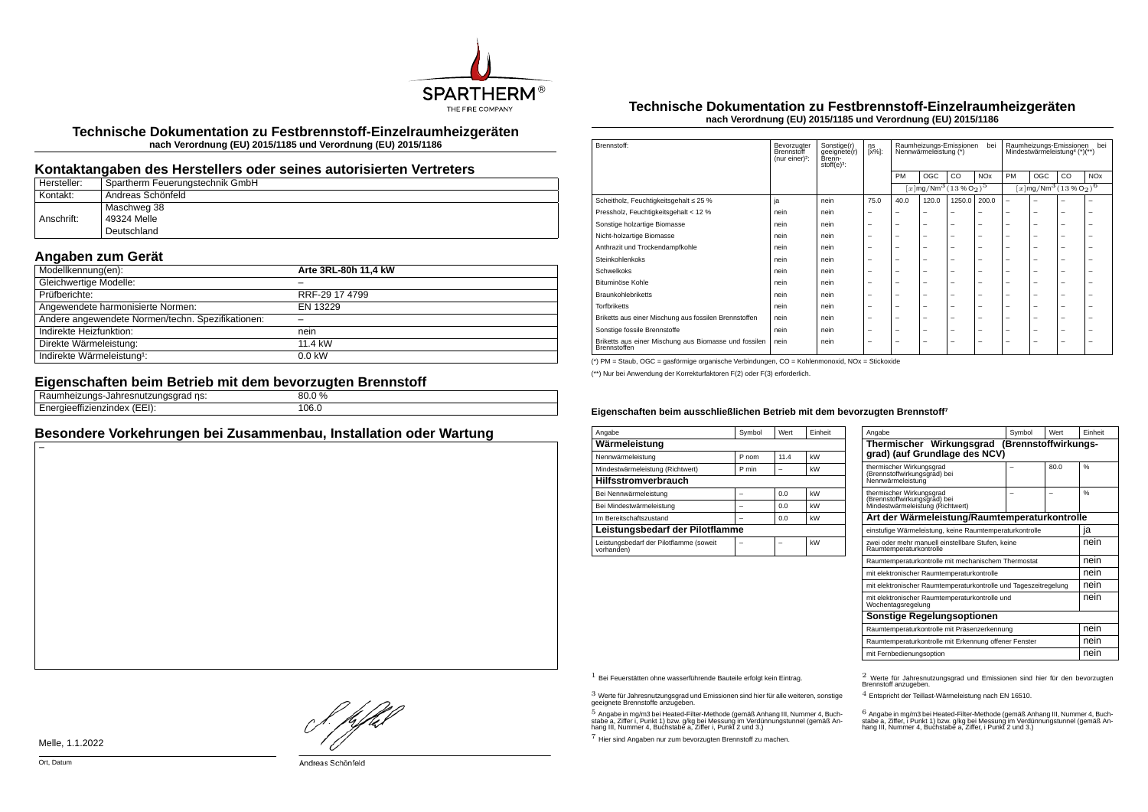

**Technische Dokumentation zu Festbrennstoff-Einzelraumheizgeräten nach Verordnung (EU) 2015/1185 und Verordnung (EU) 2015/1186**

### **Kontaktangaben des Herstellers oder seines autorisierten Vertreters**

| Hersteller: | Spartherm Feuerungstechnik GmbH |
|-------------|---------------------------------|
| Kontakt:    | Andreas Schönfeld               |
|             | Maschweg 38                     |
| Anschrift:  | 49324 Melle                     |
|             | Deutschland                     |

## **Angaben zum Gerät**

| Modellkennung(en):                                | Arte 3RL-80h 11,4 kW |
|---------------------------------------------------|----------------------|
| Gleichwertige Modelle:                            |                      |
| Prüfberichte:                                     | RRF-29 17 4799       |
| Angewendete harmonisierte Normen:                 | EN 13229             |
| Andere angewendete Normen/techn. Spezifikationen: |                      |
| Indirekte Heizfunktion:                           | nein                 |
| Direkte Wärmeleistung:                            | 11.4 kW              |
| Indirekte Wärmeleistung <sup>1</sup> :            | $0.0$ kW             |

#### **Eigenschaften beim Betrieb mit dem bevorzugten Brennstoff**

| ns:<br>nneizunas-<br>лапге:<br><b>au</b><br>.   | ሪ0.0 % |
|-------------------------------------------------|--------|
| <br>$\sqrt{2}$<br>zienzinuex<br>ule,<br>.<br>–⊥ | 106.0  |

## **Besondere Vorkehrungen bei Zusammenbau, Installation oder Wartung**

#### **Technische Dokumentation zu Festbrennstoff-Einzelraumheizgeräten nach Verordnung (EU) 2015/1185 und Verordnung (EU) 2015/1186**

| Brennstoff:                                                           | Bevorzugter<br>Brennstoff<br>(nur einer) <sup>2</sup> : | Sonstige(r)<br>geeignete(r)<br>Brenn-<br>stoff $(e)^3$ : | ηs<br>$[x\%]$ : | Raumheizungs-Emissionen<br>bei<br>Nennwärmeleistung (*) |                                                           |                          |                       | bei<br>Raumheizungs-Emissionen<br>Mindestwärmeleistung <sup>4</sup> (*)(**) |     |    |                       |
|-----------------------------------------------------------------------|---------------------------------------------------------|----------------------------------------------------------|-----------------|---------------------------------------------------------|-----------------------------------------------------------|--------------------------|-----------------------|-----------------------------------------------------------------------------|-----|----|-----------------------|
|                                                                       |                                                         |                                                          |                 | PM                                                      | OGC                                                       | CO.                      | <b>NO<sub>x</sub></b> | PM                                                                          | OGC | CO | <b>NO<sub>x</sub></b> |
|                                                                       |                                                         |                                                          |                 |                                                         | $[x \, \text{mg}/\text{Nm}^3 \, (13\, \%\, \text{O}_2)^5$ |                          |                       | $[x \text{mg}/\text{Nm}^3 \text{ (13 %O2)}^6$                               |     |    |                       |
| Scheitholz, Feuchtigkeitsgehalt ≤ 25 %                                | ja                                                      | nein                                                     | 75.0            | 40.0                                                    | 120.0                                                     | 1250.0                   | 200.0                 | $\overline{\phantom{0}}$                                                    | -   |    | ÷                     |
| Pressholz, Feuchtigkeitsgehalt < 12 %                                 | nein                                                    | nein                                                     | -               | -                                                       | -                                                         | -                        | -                     | -                                                                           | -   | -  | -                     |
| Sonstige holzartige Biomasse                                          | nein                                                    | nein                                                     | -               | -                                                       | $\overline{\phantom{a}}$                                  | $\overline{\phantom{0}}$ | -                     | -                                                                           | -   | -  | -                     |
| Nicht-holzartige Biomasse                                             | nein                                                    | nein                                                     | -               | -                                                       | $\overline{\phantom{a}}$                                  | $\overline{\phantom{0}}$ | -                     | -                                                                           | -   | -  | -                     |
| Anthrazit und Trockendampfkohle                                       | nein                                                    | nein                                                     | -               | -                                                       | -                                                         | -                        | -                     | -                                                                           | -   | -  | ۰                     |
| Steinkohlenkoks                                                       | nein                                                    | nein                                                     | -               | -                                                       | $\overline{\phantom{a}}$                                  | $\overline{\phantom{0}}$ | -                     | -                                                                           | -   | -  | -                     |
| Schwelkoks                                                            | nein                                                    | nein                                                     | -               | -                                                       | $\overline{\phantom{a}}$                                  | $\overline{\phantom{0}}$ | -                     | -                                                                           | -   | -  | -                     |
| Bituminöse Kohle                                                      | nein                                                    | nein                                                     | -               | -                                                       | $\overline{\phantom{a}}$                                  | $\overline{\phantom{0}}$ | -                     | -                                                                           | -   | -  | -                     |
| <b>Braunkohlebriketts</b>                                             | nein                                                    | nein                                                     | -               | -                                                       | $\overline{\phantom{a}}$                                  | $\overline{\phantom{0}}$ | -                     | -                                                                           | -   | -  | -                     |
| <b>Torfbriketts</b>                                                   | nein                                                    | nein                                                     | -               | -                                                       | $\overline{\phantom{a}}$                                  | $\overline{\phantom{0}}$ | -                     | -                                                                           | -   | -  | ۰                     |
| Briketts aus einer Mischung aus fossilen Brennstoffen                 | nein                                                    | nein                                                     | -               | -                                                       | $\overline{\phantom{a}}$                                  | $\overline{\phantom{0}}$ | -                     | -                                                                           | -   | -  | -                     |
| Sonstige fossile Brennstoffe                                          | nein                                                    | nein                                                     | -               | -                                                       | $\overline{\phantom{a}}$                                  | $\overline{\phantom{0}}$ | -                     | -                                                                           | -   | -  | -                     |
| Briketts aus einer Mischung aus Biomasse und fossilen<br>Brennstoffen | nein                                                    | nein                                                     | -               | -                                                       | -                                                         | $\overline{\phantom{0}}$ | -                     | -                                                                           | -   | -  | -                     |

(\*) PM = Staub, OGC = gasförmige organische Verbindungen, CO = Kohlenmonoxid, NOx = Stickoxide

(\*\*) Nur bei Anwendung der Korrekturfaktoren F(2) oder F(3) erforderlich.

#### **Eigenschaften beim ausschließlichen Betrieb mit dem bevorzugten Brennstoff⁷**

| Angabe                                                | Symbol | Wert | Finheit |  |  |  |
|-------------------------------------------------------|--------|------|---------|--|--|--|
| Wärmeleistung                                         |        |      |         |  |  |  |
| Nennwärmeleistung                                     | P nom  | 11.4 | kW      |  |  |  |
| Mindestwärmeleistung (Richtwert)                      | P min  |      | kW      |  |  |  |
| <b>Hilfsstromverbrauch</b>                            |        |      |         |  |  |  |
| Bei Nennwärmeleistung                                 |        | 0.0  | kW      |  |  |  |
| Bei Mindestwärmeleistung                              |        | 0.0  | kW      |  |  |  |
| Im Bereitschaftszustand                               |        | 0.0  | kW      |  |  |  |
| Leistungsbedarf der Pilotflamme                       |        |      |         |  |  |  |
| Leistungsbedarf der Pilotflamme (soweit<br>vorhanden) |        |      | kW      |  |  |  |

| Angabe                                                                                       | Symbol | Wert | Finheit       |  |  |
|----------------------------------------------------------------------------------------------|--------|------|---------------|--|--|
| Thermischer Wirkungsgrad (Brennstoffwirkungs-<br>grad) (auf Grundlage des NCV)               |        |      |               |  |  |
| thermischer Wirkungsgrad<br>(Brennstoffwirkungsgrad) bei<br>Nennwärmeleistung                |        | 80.0 | $\frac{0}{6}$ |  |  |
| thermischer Wirkungsgrad<br>(Brennstoffwirkungsgrad) bei<br>Mindestwärmeleistung (Richtwert) |        |      | $\frac{9}{6}$ |  |  |
| Art der Wärmeleistung/Raumtemperaturkontrolle                                                |        |      |               |  |  |
| einstufige Wärmeleistung, keine Raumtemperaturkontrolle                                      |        |      |               |  |  |
| zwei oder mehr manuell einstellbare Stufen, keine<br>Raumtemperaturkontrolle                 |        |      |               |  |  |
| Raumtemperaturkontrolle mit mechanischem Thermostat                                          |        |      | nein          |  |  |
| mit elektronischer Raumtemperaturkontrolle                                                   |        |      | nein          |  |  |
| mit elektronischer Raumtemperaturkontrolle und Tageszeitregelung                             |        |      | nein          |  |  |
| mit elektronischer Raumtemperaturkontrolle und<br>Wochentagsregelung                         |        |      |               |  |  |
| Sonstige Regelungsoptionen                                                                   |        |      |               |  |  |
| Raumtemperaturkontrolle mit Präsenzerkennung                                                 | nein   |      |               |  |  |
| Raumtemperaturkontrolle mit Erkennung offener Fenster                                        |        |      |               |  |  |
| mit Fernbedienungsoption                                                                     |        |      |               |  |  |

 $3$  Werte für Jahresnutzungsgrad und Emissionen sind hier für alle weiteren, sonstige geeignete Brennstoffe anzugeben.

 $5$  Angabe in mg/m3 bei Heated-Filter-Methode (gemäß Anhang III, Nummer 4, Buchstabe a, Ziffer i, Punkt 1) bzw. g/kg bei Messung im Verdünnungstunnel (gemäß An-hang III, Nummer 4, Buchstabe a, Ziffer i, Punkt 2 und 3.)

7 Hier sind Angaben nur zum bevorzugten Brennstoff zu machen.

1 Bei Feuerstätten ohne wasserführende Bauteile erfolgt kein Eintrag. 2 Werte für Jahresnutzungsgrad und Emissionen sind hier für den bevorzugten Brennstoff anzugeben.

4 Entspricht der Teillast-Wärmeleistung nach EN 16510.

.<br>stabe a, Ziffer, i Punkt 1) bzw. g/kg bei Messung im Verdünnungstunnel (gemäß An-<br>hang III, Nummer 4, Buchstabe a, Ziffer, i Punkt 2 und 3.)<br>hang III, Nummer 4, Buchstabe a, Ziffer, i Punkt 2 und 3.)

Melle, 1.1.2022

f. pfbd

Andreas Schönfeld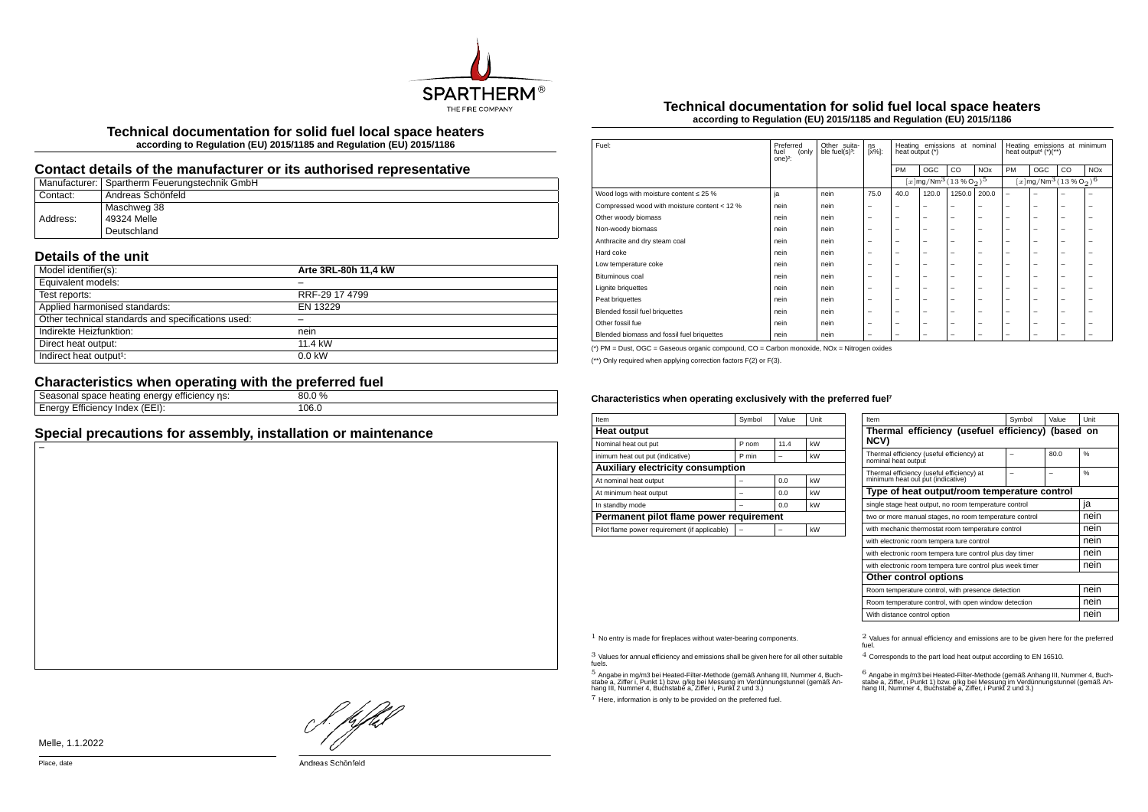

**Technical documentation for solid fuel local space heaters according to Regulation (EU) 2015/1185 and Regulation (EU) 2015/1186**

## **Contact details of the manufacturer or its authorised representative**

|          | Manufacturer: Spartherm Feuerungstechnik GmbH |
|----------|-----------------------------------------------|
| Contact: | Andreas Schönfeld                             |
|          | Maschweg 38                                   |
| Address: | 49324 Melle                                   |
|          | Deutschland                                   |

# **Details of the unit**

| Model identifier(s):                               | Arte 3RL-80h 11.4 kW |
|----------------------------------------------------|----------------------|
| Equivalent models:                                 |                      |
| Test reports:                                      | RRF-29 17 4799       |
| Applied harmonised standards:                      | EN 13229             |
| Other technical standards and specifications used: |                      |
| Indirekte Heizfunktion:                            | nein                 |
| Direct heat output:                                | 11 4 kW              |
| Indirect heat output <sup>1</sup> :                | $0.0$ kW             |

# **Characteristics when operating with the preferred fuel**

| ns:<br>emclency<br>, וו<br>Tieauriu<br>uace m<br>الكاتب<br>ູ | $\frac{0}{0}$<br>nn<br>וח |  |
|--------------------------------------------------------------|---------------------------|--|
| Index<br>icienc'<br>(EEI):<br>' וי<br>-пк                    | 106.0<br>.                |  |
|                                                              |                           |  |

# **Special precautions for assembly, installation or maintenance**

### **Technical documentation for solid fuel local space heaters according to Regulation (EU) 2015/1185 and Regulation (EU) 2015/1186**

| Fuel:                                        | Preferred<br>fuel<br>(only<br>one $)^2$ : | Other suita-<br>ble fuel(s) <sup>3</sup> : | ηs<br>[x%]:              | Heating emissions at nominal<br>heat output (*) |                                                         |        | Heating emissions at minimum<br>heat output <sup>4</sup> $(*)$ <sup>**</sup> ) |                                                        |     |    |                       |
|----------------------------------------------|-------------------------------------------|--------------------------------------------|--------------------------|-------------------------------------------------|---------------------------------------------------------|--------|--------------------------------------------------------------------------------|--------------------------------------------------------|-----|----|-----------------------|
|                                              |                                           |                                            |                          | PM                                              | OGC                                                     | CO     | <b>NO<sub>x</sub></b>                                                          | PM                                                     | OGC | CO | <b>NO<sub>x</sub></b> |
|                                              |                                           |                                            |                          |                                                 | $[x \, \text{mg}/\text{Nm}^3 \, (13\,\%\,\text{O}_2)^5$ |        |                                                                                | $[x]$ mg/Nm $^3$ $(13\%$ O <sub>2</sub> ) <sup>6</sup> |     |    |                       |
| Wood logs with moisture content $\leq 25$ %  | ja                                        | nein                                       | 75.0                     | 40.0                                            | 120.0                                                   | 1250.0 | 200.0                                                                          | $\overline{\phantom{0}}$                               | -   |    | -                     |
| Compressed wood with moisture content < 12 % | nein                                      | nein                                       |                          | $\overline{\phantom{0}}$                        | $\overline{\phantom{0}}$                                | -      | -                                                                              | -                                                      | -   | -  | -                     |
| Other woody biomass                          | nein                                      | nein                                       | $\overline{\phantom{a}}$ | $\overline{\phantom{0}}$                        | $\overline{\phantom{0}}$                                | -      | -                                                                              | -                                                      | -   | -  | -                     |
| Non-woody biomass                            | nein                                      | nein                                       | $\overline{\phantom{a}}$ | $\overline{\phantom{0}}$                        | $\overline{\phantom{0}}$                                | -      | -                                                                              | -                                                      | -   | -  | -                     |
| Anthracite and dry steam coal                | nein                                      | nein                                       | $\overline{\phantom{m}}$ | $\overline{\phantom{m}}$                        | $\overline{\phantom{0}}$                                | -      | -                                                                              | -                                                      | -   | -  | -                     |
| Hard coke                                    | nein                                      | nein                                       | $\overline{\phantom{a}}$ | $\overline{\phantom{0}}$                        | $\overline{\phantom{0}}$                                | -      | -                                                                              | -                                                      | -   | -  | -                     |
| Low temperature coke                         | nein                                      | nein                                       | $\overline{\phantom{a}}$ | -                                               | $\overline{\phantom{a}}$                                | -      | -                                                                              | -                                                      | -   | -  | -                     |
| Bituminous coal                              | nein                                      | nein                                       | $\overline{\phantom{a}}$ | -                                               | $\overline{\phantom{0}}$                                | -      | -                                                                              | -                                                      | -   | -  | -                     |
| Lignite briguettes                           | nein                                      | nein                                       | $\overline{\phantom{a}}$ | -                                               | $\overline{\phantom{a}}$                                | -      | -                                                                              | -                                                      | -   | -  | -                     |
| Peat briquettes                              | nein                                      | nein                                       | $\overline{\phantom{a}}$ | $\overline{\phantom{0}}$                        | $\overline{\phantom{a}}$                                | -      | -                                                                              | -                                                      | -   | -  | -                     |
| Blended fossil fuel briquettes               | nein                                      | nein                                       | $\overline{\phantom{m}}$ | $\overline{\phantom{m}}$                        | $\overline{\phantom{0}}$                                | -      | -                                                                              | -                                                      | -   | -  | -                     |
| Other fossil fue                             | nein                                      | nein                                       | $\overline{\phantom{a}}$ | $\overline{\phantom{0}}$                        | $\overline{\phantom{0}}$                                | -      | -                                                                              | -                                                      | -   | -  | -                     |
| Blended biomass and fossil fuel briquettes   | nein                                      | nein                                       | $\overline{\phantom{0}}$ | -                                               | -                                                       | -      | -                                                                              | -                                                      | -   | -  | -                     |
|                                              |                                           |                                            |                          |                                                 |                                                         |        |                                                                                |                                                        |     |    |                       |

(\*) PM = Dust, OGC = Gaseous organic compound, CO = Carbon monoxide, NOx = Nitrogen oxides

(\*\*) Only required when applying correction factors F(2) or F(3).

#### Characteristics when operating exclusively with the preferred fuel<sup>7</sup>

| Item                                          | Symbol | Value | Unit |  |  |  |
|-----------------------------------------------|--------|-------|------|--|--|--|
| <b>Heat output</b>                            |        |       |      |  |  |  |
| Nominal heat out put                          | P nom  | 11.4  | kW   |  |  |  |
| inimum heat out put (indicative)              | P min  |       | kW   |  |  |  |
| Auxiliary electricity consumption             |        |       |      |  |  |  |
| At nominal heat output                        |        | 0.0   | kW   |  |  |  |
| At minimum heat output                        |        | 0.0   | kW   |  |  |  |
| In standby mode                               |        | 0.0   | kW   |  |  |  |
| Permanent pilot flame power requirement       |        |       |      |  |  |  |
| Pilot flame power requirement (if applicable) |        |       | kW   |  |  |  |

| Item                                                                           | Symbol | Value | Unit          |  |  |
|--------------------------------------------------------------------------------|--------|-------|---------------|--|--|
| Thermal efficiency (usefuel efficiency) (based on<br>NCV)                      |        |       |               |  |  |
| Thermal efficiency (useful efficiency) at<br>nominal heat output               |        | 80.0  | 0/6           |  |  |
| Thermal efficiency (useful efficiency) at<br>minimum heat out put (indicative) |        |       | $\frac{0}{6}$ |  |  |
| Type of heat output/room temperature control                                   |        |       |               |  |  |
| single stage heat output, no room temperature control                          | ıa     |       |               |  |  |
| two or more manual stages, no room temperature control                         | nein   |       |               |  |  |
| with mechanic thermostat room temperature control                              |        |       |               |  |  |
| with electronic room tempera ture control                                      | nein   |       |               |  |  |
| with electronic room tempera ture control plus day timer                       | nein   |       |               |  |  |
| with electronic room tempera ture control plus week timer                      | nein   |       |               |  |  |
| Other control options                                                          |        |       |               |  |  |
| Room temperature control, with presence detection                              | nein   |       |               |  |  |
| Room temperature control, with open window detection                           | nein   |       |               |  |  |
| With distance control option                                                   |        |       | nein          |  |  |

3 Values for annual efficiency and emissions shall be given here for all other suitable fuels.

.<br>5 Angabe a, Ziffer i, Punkt 1) bzw. g/kg bei Messung im Verdünnungstunnel (gemäß An-<br>hang III, Nummer 4, Buchstabe a, Ziffer i, Punkt 2 und 3.)<br>hang III, Nummer 4, Buchstabe a, Ziffer i, Punkt 2 und 3.)

7 Here, information is only to be provided on the preferred fuel.

 $1$  No entry is made for fireplaces without water-bearing components.  $2$  Values for annual efficiency and emissions are to be given here for the preferred fuel.

4 Corresponds to the part load heat output according to EN 16510.

.<br>stabe a, Ziffer, i Punkt 1) bzw. g/kg bei Messung im Verdünnungstunner 4, Buch-<br>hang III, Nummer 4, Buchstabe a, Ziffer, i Punkt 2 und 3.)<br>hang III, Nummer 4, Buchstabe a, Ziffer, i Punkt 2 und 3.)

! pfhil

Melle, 1.1.2022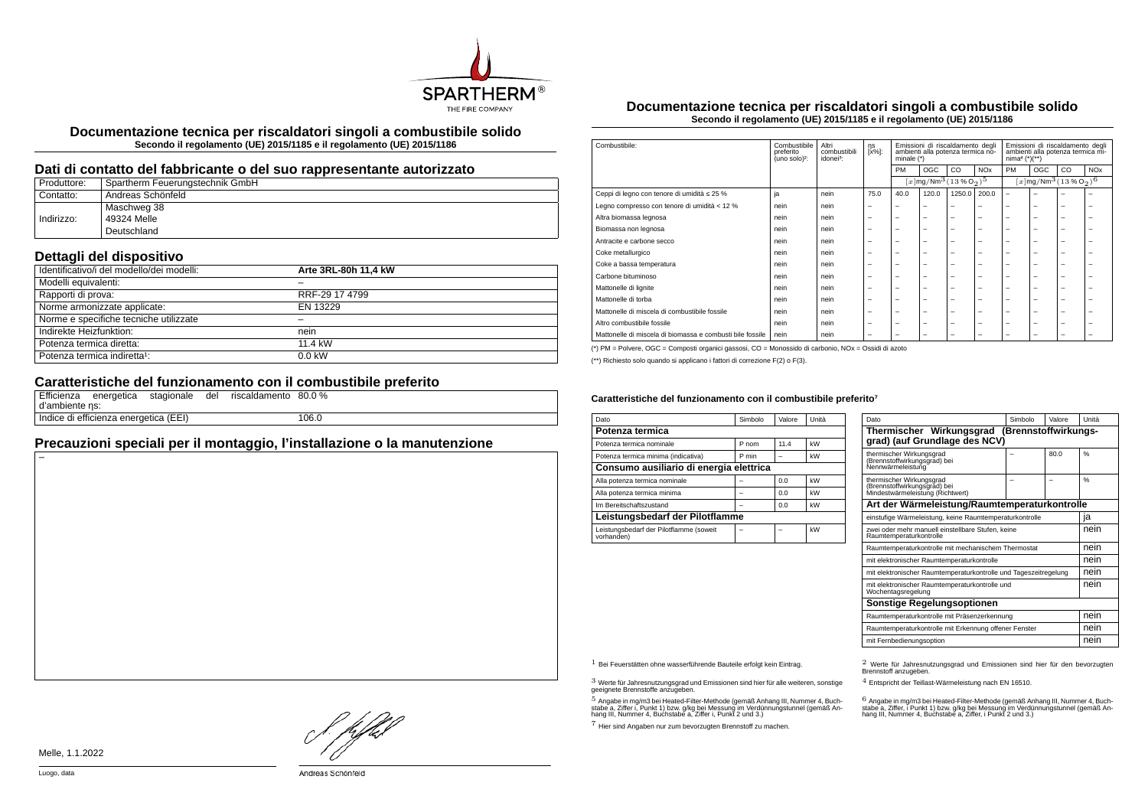

**Documentazione tecnica per riscaldatori singoli a combustibile solido Secondo il regolamento (UE) 2015/1185 e il regolamento (UE) 2015/1186**

#### **Dati di contatto del fabbricante o del suo rappresentante autorizzato**

| Produttore: | Spartherm Feuerungstechnik GmbH |
|-------------|---------------------------------|
| Contatto:   | Andreas Schönfeld               |
|             | Maschweg 38                     |
| Indirizzo:  | 49324 Melle                     |
|             | Deutschland                     |

## **Dettagli del dispositivo**

| Identificativo/i del modello/dei modelli: | Arte 3RL-80h 11.4 kW |
|-------------------------------------------|----------------------|
| Modelli equivalenti:                      |                      |
| Rapporti di prova:                        | RRF-29 17 4799       |
| Norme armonizzate applicate:              | EN 13229             |
| Norme e specifiche tecniche utilizzate    |                      |
| Indirekte Heizfunktion:                   | nein                 |
| Potenza termica diretta:                  | 11.4 kW              |
| Potenza termica indiretta <sup>1</sup> :  | $0.0$ kW             |

### **Caratteristiche del funzionamento con il combustibile preferito**

| d'ambiente ns: |                                       |  | Efficienza energetica stagionale del riscaldamento 80.0 % |       |
|----------------|---------------------------------------|--|-----------------------------------------------------------|-------|
|                | Indice di efficienza energetica (EEI) |  |                                                           | 106.0 |

# **Precauzioni speciali per il montaggio, l'installazione o la manutenzione**

**Documentazione tecnica per riscaldatori singoli a combustibile solido Secondo il regolamento (UE) 2015/1185 e il regolamento (UE) 2015/1186**

| Combustibile:                                             | Combustibile<br>preferito<br>(uno solo) <sup>2</sup> : | Altri<br>combustibili<br>idonei <sup>3</sup> : | ηs<br>[x%]:              | Emissioni di riscaldamento degli<br>ambienti alla potenza termica no-<br>minale (*) |                          | Emissioni di riscaldamento degli<br>ambienti alla potenza termica mi-<br>$nima4 (*)(**)$ |                       |                          |                          |                                                       |            |
|-----------------------------------------------------------|--------------------------------------------------------|------------------------------------------------|--------------------------|-------------------------------------------------------------------------------------|--------------------------|------------------------------------------------------------------------------------------|-----------------------|--------------------------|--------------------------|-------------------------------------------------------|------------|
|                                                           |                                                        |                                                |                          | PM                                                                                  | OGC                      | CO                                                                                       | <b>NO<sub>x</sub></b> | <b>PM</b>                | OGC                      | CO                                                    | <b>NOx</b> |
|                                                           |                                                        |                                                |                          |                                                                                     |                          | $[x]$ mg/Nm <sup>3</sup> $(13\%$ O <sub>2</sub> ) <sup>5</sup>                           |                       |                          |                          | $\sqrt{[x] \text{mg}/\text{Nm}^3 (13\%\text{O}_2)^6}$ |            |
| Ceppi di legno con tenore di umidità ≤ 25 %               | ja                                                     | nein                                           | 75.0                     | 40.0                                                                                | 120.0                    | 1250.0                                                                                   | 200.0                 | ۰                        | ۰                        |                                                       |            |
| Legno compresso con tenore di umidità < 12 %              | nein                                                   | nein                                           | $\overline{\phantom{0}}$ | $\overline{\phantom{a}}$                                                            | $\overline{\phantom{a}}$ | -                                                                                        | -                     | -                        | $\overline{\phantom{0}}$ | -                                                     | -          |
| Altra biomassa legnosa                                    | nein                                                   | nein                                           | $\overline{\phantom{0}}$ | $\overline{\phantom{0}}$                                                            | $\overline{\phantom{a}}$ | -                                                                                        | -                     | -                        | -                        | -                                                     |            |
| Biomassa non legnosa                                      | nein                                                   | nein                                           | $\overline{\phantom{0}}$ | $\overline{\phantom{0}}$                                                            | $\overline{\phantom{a}}$ | -                                                                                        | -                     | -                        | $\overline{\phantom{0}}$ | -                                                     |            |
| Antracite e carbone secco                                 | nein                                                   | nein                                           | $\overline{\phantom{0}}$ | $\overline{\phantom{a}}$                                                            | $\overline{\phantom{a}}$ | -                                                                                        | -                     | -                        | -                        | -                                                     |            |
| Coke metallurgico                                         | nein                                                   | nein                                           | $\overline{\phantom{0}}$ | $\overline{\phantom{0}}$                                                            | $\overline{\phantom{a}}$ | -                                                                                        | -                     | -                        | -                        | -                                                     |            |
| Coke a bassa temperatura                                  | nein                                                   | nein                                           | $\overline{\phantom{0}}$ | $\overline{\phantom{0}}$                                                            | $\overline{\phantom{a}}$ | -                                                                                        | -                     | -                        | -                        | -                                                     |            |
| Carbone bituminoso                                        | nein                                                   | nein                                           | $\overline{\phantom{0}}$ | $\overline{\phantom{0}}$                                                            | $\overline{\phantom{a}}$ | -                                                                                        | -                     | $\overline{\phantom{0}}$ | $\overline{\phantom{0}}$ | -                                                     |            |
| Mattonelle di lignite                                     | nein                                                   | nein                                           | $\overline{\phantom{0}}$ | $\overline{\phantom{0}}$                                                            | $\overline{\phantom{a}}$ | -                                                                                        | -                     | -                        | -                        | -                                                     |            |
| Mattonelle di torba                                       | nein                                                   | nein                                           | $\overline{\phantom{0}}$ | $\overline{\phantom{0}}$                                                            | $\overline{\phantom{a}}$ | -                                                                                        | -                     | -                        | -                        | -                                                     |            |
| Mattonelle di miscela di combustibile fossile             | nein                                                   | nein                                           | $\overline{\phantom{0}}$ | $\overline{\phantom{0}}$                                                            | $\overline{\phantom{0}}$ | -                                                                                        | -                     | $\overline{\phantom{a}}$ | $\overline{\phantom{0}}$ | -                                                     | -          |
| Altro combustibile fossile                                | nein                                                   | nein                                           | $\overline{\phantom{0}}$ | $\overline{\phantom{0}}$                                                            | $\overline{\phantom{0}}$ | -                                                                                        | -                     | $\overline{\phantom{a}}$ | -                        | -                                                     | -          |
| Mattonelle di miscela di biomassa e combusti bile fossile | nein                                                   | nein                                           | $\overline{\phantom{0}}$ | $\overline{\phantom{0}}$                                                            | $\overline{\phantom{0}}$ | -                                                                                        | -                     | -                        | -                        | -                                                     |            |

(\*) PM = Polvere, OGC = Composti organici gassosi, CO = Monossido di carbonio, NOx = Ossidi di azoto

(\*\*) Richiesto solo quando si applicano i fattori di correzione F(2) o F(3).

#### Caratteristiche del funzionamento con il combustibile preferito<sup>7</sup>

| Dato                                                  | Simbolo | Valore | Unità |  |  |
|-------------------------------------------------------|---------|--------|-------|--|--|
| Potenza termica                                       |         |        |       |  |  |
| Potenza termica nominale                              | P nom   | 11.4   | kW    |  |  |
| Potenza termica minima (indicativa)                   | P min   |        | kW    |  |  |
| Consumo ausiliario di energia elettrica               |         |        |       |  |  |
| Alla potenza termica nominale                         |         | 0.0    | kW    |  |  |
| Alla potenza termica minima                           |         | 0.0    | kW    |  |  |
| Im Bereitschaftszustand                               |         | 0.0    | kW    |  |  |
| Leistungsbedarf der Pilotflamme                       |         |        |       |  |  |
| Leistungsbedarf der Pilotflamme (soweit<br>vorhanden) |         |        | kW    |  |  |

| Dato                                                                                         | Simbolo | Valore | Unità |  |  |  |
|----------------------------------------------------------------------------------------------|---------|--------|-------|--|--|--|
| Thermischer Wirkungsgrad<br>(Brennstoffwirkungs-<br>grad) (auf Grundlage des NCV)            |         |        |       |  |  |  |
| thermischer Wirkungsgrad<br>(Brennstoffwirkungsgrad) bei<br>Nennwärmeleistung                |         | 80.0   | %     |  |  |  |
| thermischer Wirkungsgrad<br>(Brennstoffwirkungsgrad) bei<br>Mindestwärmeleistung (Richtwert) |         |        | %     |  |  |  |
| Art der Wärmeleistung/Raumtemperaturkontrolle                                                |         |        |       |  |  |  |
| einstufige Wärmeleistung, keine Raumtemperaturkontrolle                                      |         |        | ia    |  |  |  |
| zwei oder mehr manuell einstellbare Stufen, keine<br>Raumtemperaturkontrolle                 |         |        |       |  |  |  |
| Raumtemperaturkontrolle mit mechanischem Thermostat                                          |         |        | nein  |  |  |  |
| mit elektronischer Raumtemperaturkontrolle                                                   |         |        | nein  |  |  |  |
| mit elektronischer Raumtemperaturkontrolle und Tageszeitregelung                             |         |        | nein  |  |  |  |
| mit elektronischer Raumtemperaturkontrolle und<br>Wochentagsregelung                         |         |        | nein  |  |  |  |
| <b>Sonstige Regelungsoptionen</b>                                                            |         |        |       |  |  |  |
| Raumtemperaturkontrolle mit Präsenzerkennung                                                 |         |        |       |  |  |  |
| Raumtemperaturkontrolle mit Erkennung offener Fenster                                        |         |        | nein  |  |  |  |
| mit Fernbedienungsoption                                                                     |         |        |       |  |  |  |

3 Werte für Jahresnutzungsgrad und Emissionen sind hier für alle weiteren, sonstige geeignete Brennstoffe anzugeben.

.<br>5 Angabe in mg/m3 bei Heated-Filter-Methode (gemäß Anhang III, Nummer 4, Buch-<br>stabe a, Ziffer i, Punkt 1) bzw. g/kg bei Nessung im Verdünnungstunnel (gemäß An-<br>hang III, Nummer 4, Buchstabe a, Ziffer i, Punkt 2 und 3.)

7 Hier sind Angaben nur zum bevorzugten Brennstoff zu machen.

1 Bei Feuerstätten ohne wasserführende Bauteile erfolgt kein Eintrag. 2 Werte für Jahresnutzungsgrad und Emissionen sind hier für den bevorzugten Brennstoff anzugeben.

4 Entspricht der Teillast-Wärmeleistung nach EN 16510.

.<br>stabe a, Ziffer, i Punkt 1) bzw. g/kg bei Messung im Verdünnungstunnel (gemäß An-<br>hang III, Nummer 4, Buchstabe a, Ziffer, i Punkt 2 und 3.)<br>hang III, Nummer 4, Buchstabe a, Ziffer, i Punkt 2 und 3.)

HD